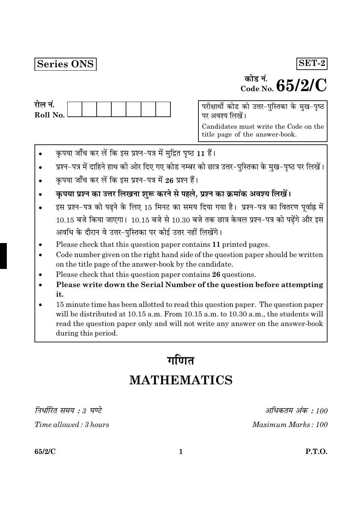## Series ONS

# $\frac{1}{\text{code No}}$  65/2/C

 $SET-2$ 

| राल न.     |  |  |  |  |
|------------|--|--|--|--|
| Roll No. l |  |  |  |  |
|            |  |  |  |  |

परीक्षार्थी कोड को उत्तर-पुस्तिका के मुख-पृष्ठ पर अवश्य लिखें।

Candidates must write the Code on the title page of the answer-book.

- कृपया जाँच कर लें कि इस प्रश्न-पत्र में मुद्रित पृष्ठ 11 हैं।
- प्रश्न-पत्र में दाहिने हाथ की ओर दिए गए कोड नम्बर को छात्र उत्तर-पुस्तिका के मुख-पृष्ठ पर लिखें।
- कपया जाँच कर लें कि इस प्रश्न-पत्र में 26 प्रश्न हैं।
- कृपया प्रश्न का उत्तर लिखना शुरू करने से पहले, प्रश्न का क्रमांक अवश्य लिखें।
- इस प्रश्न-पत्र को पढ़ने के लिए 15 मिनट का समय दिया गया है। प्रश्न-पत्र का वितरण पूर्वाह्न में  $10.15$  बजे किया जाएगा।  $10.15$  बजे से  $10.30$  बजे तक छात्र केवल प्रश्न-पत्र को पढ़ेंगे और इस अवधि के दौरान वे उत्तर-पुस्तिका पर कोई उत्तर नहीं लिखेंगे।
- Please check that this question paper contains 11 printed pages.
- Code number given on the right hand side of the question paper should be written on the title page of the answer-book by the candidate.
- Please check that this question paper contains 26 questions.
- Please write down the Serial Number of the question before attempting it.
- 15 minute time has been allotted to read this question paper. The question paper will be distributed at 10.15 a.m. From 10.15 a.m. to 10.30 a.m., the students will read the question paper only and will not write any answer on the answer-book during this period.

## गणित **MATHEMATICS**

निर्धारित समय : 3 घण्टे

Time allowed: 3 hours

अधिकतम अंक : 100 Maximum Marks: 100

65/2/C

**P.T.O.**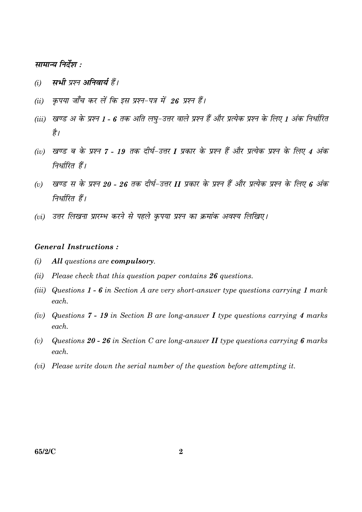#### सामान्य निर्देश :

- सभी प्रश्न अनिवार्य हैं।  $(i)$
- कपया जाँच कर लें कि इस प्रश्न-पत्र में 26 प्रश्न हैं।  $(ii)$
- (iii) खण्ड अ के प्रश्न 1 6 तक अति लघु-उत्तर वाले प्रश्न हैं और प्रत्येक प्रश्न के लिए 1 अंक निर्धारित है।
- (iv) खण्ड ब के प्रश्न 7 19 तक दीर्घ-उत्तर I प्रकार के प्रश्न हैं और प्रत्येक प्रश्न के लिए 4 अंक निर्धारित हैं।
- खण्ड स के प्रश्न 20 26 तक दीर्घ-उत्तर II प्रकार के प्रश्न हैं और प्रत्येक प्रश्न के लिए 6 अंक  $(v)$ निर्धारित हैं।
- (vi) उत्तर लिखना प्रारम्भ करने से पहले कपया प्रश्न का क्रमांक अवश्य लिखिए।

#### **General Instructions:**

- $(i)$ All questions are compulsory.
- (ii) Please check that this question paper contains  $26$  questions.
- (iii) Questions  $1 6$  in Section A are very short-answer type questions carrying 1 mark each.
- (iv) Questions 7 19 in Section B are long-answer I type questions carrying 4 marks  $\epsilon$  *each*
- Questions 20 26 in Section C are long-answer  $II$  type questions carrying 6 marks  $(v)$  $each$ .
- (vi) Please write down the serial number of the question before attempting it.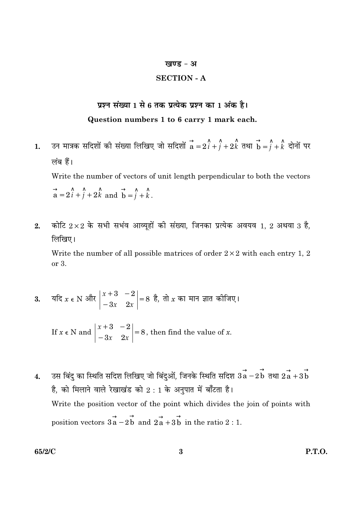#### खण्ड - अ

#### **SECTION - A**

## प्रश्न संख्या 1 से 6 तक प्रत्येक प्रश्न का 1 अंक है। Question numbers 1 to 6 carry 1 mark each.

- उन मात्रक सदिशों की संख्या लिखिए जो सदिशों  $\overrightarrow{a}=2\hat{i}+\hat{j}+2\hat{k}$  तथा  $\overrightarrow{b}=\hat{j}+\hat{k}$  दोनों पर  $1.$ लंब हैं। Write the number of vectors of unit length perpendicular to both the vectors  $\overrightarrow{a}$  = 2 $\hat{i} + \hat{j} + 2\hat{k}$  and  $\overrightarrow{b} = \hat{i} + \hat{k}$ .
- कोटि  $2\times 2$  के सभी सभंव आव्यूहों की संख्या, जिनका प्रत्येक अवयव 1, 2 अथवा 3 है.  $2.$ लिखिए। Write the number of all possible matrices of order  $2 \times 2$  with each entry 1, 2 or 3.

3. 
$$
4\pi x \in N
$$
 और  $\begin{vmatrix} x+3 & -2 \\ -3x & 2x \end{vmatrix} = 8$   $\frac{3}{6}$ ,  $\pi x \in N$   $\pi$   $\pi$   $\pi$   $\pi$   $\pi$   $\pi$   $\pi$   $\pi$ 

If  $x \in N$  and  $\begin{vmatrix} x+3 & -2 \\ -3x & 2x \end{vmatrix} = 8$ , then find the value of x.

उस बिंदु का स्थिति सदिश लिखिए जो बिंदुओं, जिनके स्थिति सदिश  $\overrightarrow{3a} - 2\overrightarrow{b}$  तथा  $2\overrightarrow{a} + 3\overrightarrow{b}$  $\overline{4}$ . है, को मिलाने वाले रेखाखंड को 2:1 के अनुपात में बाँटता है। Write the position vector of the point which divides the join of points with position vectors  $3\overrightarrow{a} - 2\overrightarrow{b}$  and  $2\overrightarrow{a} + 3\overrightarrow{b}$  in the ratio 2 : 1.

65/2/C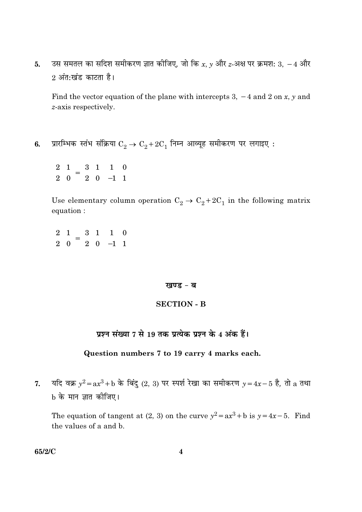उस समतल का सदिश समीकरण ज्ञात कीजिए, जो कि x, y और z-अक्ष पर क्रमश: 3,  $-4$  और 5. 2 अंत:खंड काटता है।

Find the vector equation of the plane with intercepts 3,  $-4$  and 2 on x, y and  $z$ -axis respectively.

प्रारम्भिक स्तंभ संक्रिया  $\mathrm{C}_2 \rightarrow \mathrm{C}_2 + 2 \mathrm{C}_1$  निम्न आव्यूह समीकरण पर लगाइए :  $6.$ 

 $\begin{pmatrix} 2 & 1 \\ 2 & 0 \end{pmatrix} = \begin{pmatrix} 3 & 1 \\ 2 & 0 \end{pmatrix} \begin{pmatrix} 1 & 0 \\ -1 & 1 \end{pmatrix}$ 

Use elementary column operation  $C_2 \rightarrow C_2 + 2C_1$  in the following matrix equation:

 $\begin{pmatrix} 2 & 1 \\ 2 & 0 \end{pmatrix} = \begin{pmatrix} 3 & 1 \\ 2 & 0 \end{pmatrix} \begin{pmatrix} 1 & 0 \\ -1 & 1 \end{pmatrix}$ 

#### खण्ड - ब

#### **SECTION - B**

#### प्रश्न संख्या 7 से 19 तक प्रत्येक प्रश्न के 4 अंक हैं।

#### Question numbers 7 to 19 carry 4 marks each.

यदि वक्र  $y^2 = ax^3 + b$  के बिंदु (2, 3) पर स्पर्श रेखा का समीकरण  $y = 4x - 5$  है, तो  $a$  तथा  $7.$ b के मान ज्ञात कीजिए।

The equation of tangent at (2, 3) on the curve  $y^2 = ax^3 + b$  is  $y = 4x - 5$ . Find the values of a and b.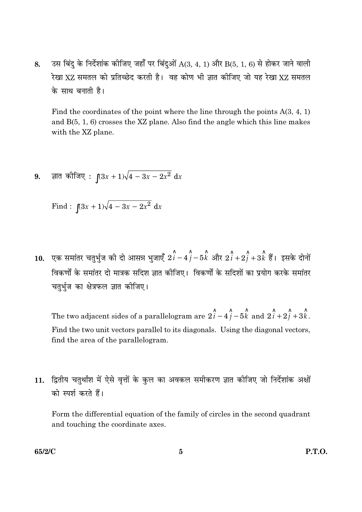उस बिंदु के निर्देशांक कीजिए जहाँ पर बिंदुओं  $A(3, 4, 1)$  और  $B(5, 1, 6)$  से होकर जाने वाली 8. रेखा XZ समतल को प्रतिच्छेद करती है। वह कोण भी ज्ञात कीजिए जो यह रेखा XZ समतल के साथ बनाती है।

Find the coordinates of the point where the line through the points  $A(3, 4, 1)$ and  $B(5, 1, 6)$  crosses the XZ plane. Also find the angle which this line makes with the XZ plane.

ज्ञात कोजिए :  $(3x + 1)\sqrt{4 - 3x - 2x^2} dx$ 9.

Find: 
$$
\int (3x+1)\sqrt{4-3x-2x^2} dx
$$

**10.** एक समांतर चतुर्भुज की दो आसन्न भुजाएँ  $2\hat{i} - 4\hat{j} - 5\hat{k}$  और  $2\hat{i} + 2\hat{j} + 3\hat{k}$  हैं। इसके दोनों विकर्णों के समांतर दो मात्रक सदिश ज्ञात कीजिए। विकर्णों के सदिशों का प्रयोग करके समांतर चतुर्भुज का क्षेत्रफल ज्ञात कीजिए।

The two adjacent sides of a parallelogram are  $2\hat{i} - 4\hat{j} - 5\hat{k}$  and  $2\hat{i} + 2\hat{j} + 3\hat{k}$ . Find the two unit vectors parallel to its diagonals. Using the diagonal vectors, find the area of the parallelogram.

द्वितीय चतुर्थांश में ऐसे वृत्तों के कुल का अवकल समीकरण ज्ञात कीजिए जो निर्देशांक अक्षों  $11.$ को स्पर्श करते हैं।

Form the differential equation of the family of circles in the second quadrant and touching the coordinate axes.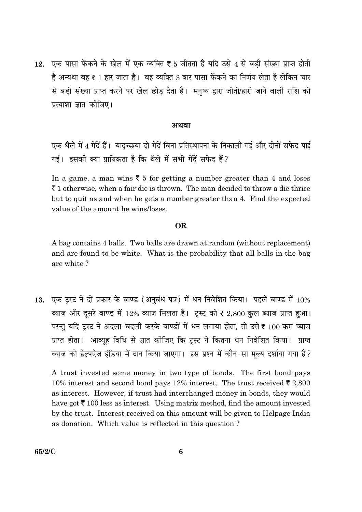एक पासा फेंकने के खेल में एक व्यक्ति ₹ 5 जीतता है यदि उसे 4 से बड़ी संख्या प्राप्त होती  $12.$ है अन्यथा वह ₹ 1 हार जाता है। वह व्यक्ति 3 बार पासा फेंकने का निर्णय लेता है लेकिन चार से बड़ी संख्या प्राप्त करने पर खेल छोड़ देता है। मनुष्य द्वारा जीती/हारी जाने वाली राशि की प्रत्याशा ज्ञात कीजिए।

#### अथवा

एक थैले में 4 गेंदें हैं। यादुच्छया दो गेंदें बिना प्रतिस्थापना के निकाली गई और दोनों सफेद पाई गई। इसकी क्या प्रायिकता है कि थैले में सभी गेंदें सफेद हैं?

In a game, a man wins  $\bar{\xi}$  5 for getting a number greater than 4 and loses  $\bar{\tau}$  1 otherwise, when a fair die is thrown. The man decided to throw a die thrice but to quit as and when he gets a number greater than 4. Find the expected value of the amount he wins/loses.

#### OR.

A bag contains 4 balls. Two balls are drawn at random (without replacement) and are found to be white. What is the probability that all balls in the bag are white?

13. एक टस्ट ने दो प्रकार के बाण्ड (अनबंध पत्र) में धन निवेशित किया। पहले बाण्ड में 10% ब्याज और दूसरे बाण्ड में 12% ब्याज मिलता है। ट्रस्ट को ₹ 2,800 कुल ब्याज प्राप्त हुआ। परन्तु यदि ट्रस्ट ने अदला-बदली करके बाण्डों में धन लगाया होता, तो उसे ₹ 100 कम ब्याज प्राप्त होता। आव्यह विधि से ज्ञात कीजिए कि ट्रस्ट ने कितना धन निवेशित किया। प्राप्त ब्याज को हेल्पऐज इंडिया में दान किया जाएगा। इस प्रश्न में कौन-सा मुल्य दर्शाया गया है?

A trust invested some money in two type of bonds. The first bond pays 10% interest and second bond pays 12% interest. The trust received  $\bar{\tau}$  2,800 as interest. However, if trust had interchanged money in bonds, they would have got  $\bar{\tau}$  100 less as interest. Using matrix method, find the amount invested by the trust. Interest received on this amount will be given to Helpage India as donation. Which value is reflected in this question?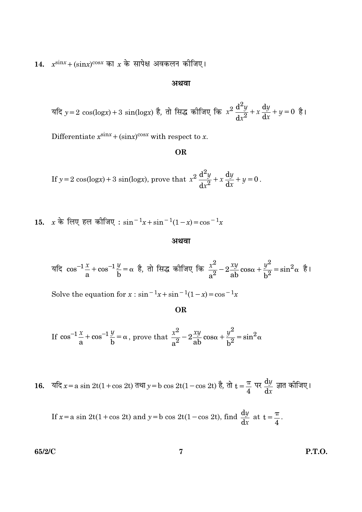14.  $x^{\text{sin}x} + (\text{sin}x)^{\cos x}$  का  $x$  के सापेक्ष अवकलन कीजिए।

#### अथवा

यदि y = 2 cos(logx) + 3 sin(logx) है, तो सिद्ध कीजिए कि  $x^2 \frac{d^2y}{dx^2} + x \frac{dy}{dx} + y = 0$  है।

Differentiate  $x^{\text{sin}x} + (\text{sin}x)^{\text{cos}x}$  with respect to x.

#### **OR**

If  $y = 2 \cos(\log x) + 3 \sin(\log x)$ , prove that  $x^2 \frac{d^2y}{dx^2} + x \frac{dy}{dx} + y = 0$ .

15. 
$$
x \neq 0
$$
 or  $\frac{1}{x} \neq 0$  or  $\frac{1}{x} \cdot \sin^{-1} x + \sin^{-1} (1 - x) = \cos^{-1} x$ 

#### अथवा

यदि 
$$
cos^{-1}\frac{x}{a} + cos^{-1}\frac{y}{b} = α
$$
 है, तो सिद्ध कीजिए कि  $\frac{x^2}{a^2} - 2\frac{xy}{ab}cosα + \frac{y^2}{b^2} = sin^2α$  है

Solve the equation for  $x : sin^{-1}x + sin^{-1}(1-x) = cos^{-1}x$ 

**OR** 

If 
$$
\cos^{-1}\frac{x}{a} + \cos^{-1}\frac{y}{b} = \alpha
$$
, prove that  $\frac{x^2}{a^2} - 2\frac{xy}{ab}\cos\alpha + \frac{y^2}{b^2} = \sin^2\alpha$ 

16. यदि  $x = a \sin 2t(1 + \cos 2t)$  तथा  $y = b \cos 2t(1 - \cos 2t)$  है, तो  $t = \frac{\pi}{4}$  पर  $\frac{dy}{dx}$  ज्ञात कीजिए।

If  $x = a \sin 2t(1 + \cos 2t)$  and  $y = b \cos 2t(1 - \cos 2t)$ , find  $\frac{dy}{dx}$  at  $t = \frac{\pi}{4}$ .

65/2/C

**P.T.O.**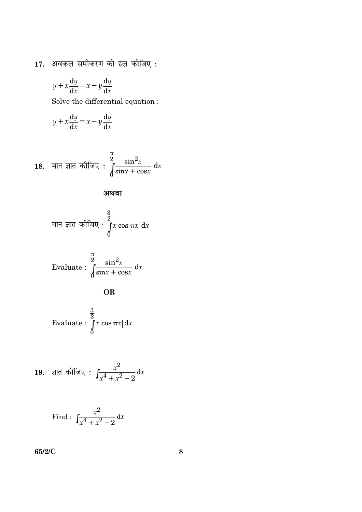17. अवकल समीकरण को हल कीजिए:

$$
y + x\frac{\mathrm{d}y}{\mathrm{d}x} = x - y\frac{\mathrm{d}y}{\mathrm{d}x}
$$

Solve the differential equation :  $% \left\vert \cdot \right\rangle$ 

$$
y + x\frac{\mathrm{d}y}{\mathrm{d}x} = x - y\frac{\mathrm{d}y}{\mathrm{d}x}
$$

18. मान ज्ञात कीजिए : 
$$
\int_{0}^{\frac{\pi}{2}} \frac{\sin^2 x}{\sin x + \cos x} dx
$$

अथवा

मान ज्ञात कीजिए : 
$$
\int_{0}^{\frac{3}{2}} |x \cos \pi x| dx
$$

Evaluate: 
$$
\int_{0}^{\frac{\pi}{2}} \frac{\sin^2 x}{\sin x + \cos x} dx
$$

Evaluate: 
$$
\int_{0}^{\frac{3}{2}} |x \cos \pi x| dx
$$

19. ज्ञात कीजिए : 
$$
\int \frac{x^2}{x^4 + x^2 - 2} dx
$$

Find: 
$$
\int \frac{x^2}{x^4 + x^2 - 2} dx
$$

65/2/C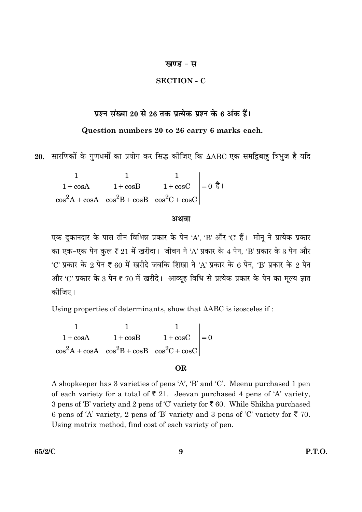#### खण्ड - स

#### **SECTION - C**

## प्रश्न संख्या 20 से 26 तक प्रत्येक प्रश्न के 6 अंक हैं।

## Question numbers 20 to 26 carry 6 marks each.

20. सारणिकों के गुणधर्मों का प्रयोग कर सिद्ध कीजिए कि  $\Delta\text{ABC}$  एक समद्विबाहु त्रिभुज है यदि

 $\begin{vmatrix} 1 & 1 & 1 \\ 1+\cos A & 1+\cos B & 1+\cos C \\ \cos^2 A+\cos A & \cos^2 B+\cos B & \cos^2 C+\cos C \end{vmatrix} = 0 \quad \frac{1}{6}$ 

#### अथवा

एक दुकानदार के पास तीन विभिन्न प्रकार के पेन 'A', 'B' और 'C' हैं। मीनू ने प्रत्येक प्रकार का एक-एक पेन कुल ₹ 21 में खरीदा। जीवन ने 'A' प्रकार के 4 पेन, 'B' प्रकार के 3 पेन और 'C' प्रकार के 2 पेन ₹ 60 में खरीदे जबकि शिखा ने 'A' प्रकार के 6 पेन, 'B' प्रकार के 2 पेन और 'C' प्रकार के 3 पेन ₹ 70 में खरीदे। आव्यूह विधि से प्रत्येक प्रकार के पेन का मूल्य ज्ञात कोजिए।

Using properties of determinants, show that  $\triangle ABC$  is isosceles if:

 $\begin{vmatrix} 1 & 1 & 1 \ 1+\cos A & 1+\cos B & 1+\cos C \ \cos^2 A+\cos A & \cos^2 B+\cos B & \cos^2 C+\cos C \end{vmatrix} = 0$ 

#### **OR**

A shopkeeper has 3 varieties of pens 'A', 'B' and 'C'. Meenu purchased 1 pen of each variety for a total of  $\overline{\xi}$  21. Jeevan purchased 4 pens of 'A' variety, 3 pens of 'B' variety and 2 pens of 'C' variety for ₹ 60. While Shikha purchased 6 pens of 'A' variety, 2 pens of 'B' variety and 3 pens of 'C' variety for  $\overline{\xi}$  70. Using matrix method, find cost of each variety of pen.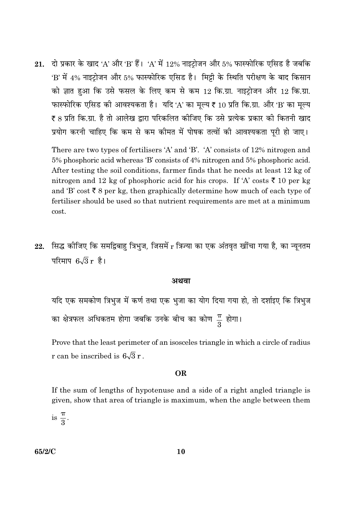21. दो प्रकार के खाद 'A' और 'B' हैं। 'A' में 12% नाइट्रोजन और 5% फास्फोरिक एसिड है जबकि 'B' में 4% नाइट्रोजन और 5% फास्फोरिक एसिड है। मिट्टी के स्थिति परीक्षण के बाद किसान को ज्ञात हुआ कि उसे फसल के लिए कम से कम 12 कि.ग्रा. नाइटोजन और 12 कि.ग्रा. फास्फोरिक एसिड की आवश्यकता है। यदि 'A' का मल्य ₹ 10 प्रति कि.ग्रा. और 'B' का मल्य ₹ 8 प्रति कि.ग्रा. है तो आलेख द्वारा परिकलित कीजिए कि उसे प्रत्येक प्रकार की कितनी खाद प्रयोग करनी चाहिए कि कम से कम कीमत में पोषक तत्वों की आवश्यकता पूरी हो जाए।

There are two types of fertilisers 'A' and 'B'. 'A' consists of 12% nitrogen and 5% phosphoric acid whereas 'B' consists of 4% nitrogen and 5% phosphoric acid. After testing the soil conditions, farmer finds that he needs at least 12 kg of nitrogen and 12 kg of phosphoric acid for his crops. If 'A' costs  $\bar{\xi}$  10 per kg and 'B' cost  $\bar{\xi}$  8 per kg, then graphically determine how much of each type of fertiliser should be used so that nutrient requirements are met at a minimum cost.

22. सिद्ध कीजिए कि समद्विबाहु त्रिभुज, जिसमें r त्रिज्या का एक अंतवृत खींचा गया है, का न्यूनतम परिमाप  $6\sqrt{3}$  r है।

#### अथवा

यदि एक समकोण त्रिभुज में कर्ण तथा एक भुजा का योग दिया गया हो, तो दर्शाइए कि त्रिभुज का क्षेत्रफल अधिकतम होगा जबकि उनके बीच का कोण  $\frac{\pi}{3}$  होगा।

Prove that the least perimeter of an isosceles triangle in which a circle of radius r can be inscribed is  $6\sqrt{3}$  r.

#### **OR**

If the sum of lengths of hypotenuse and a side of a right angled triangle is given, show that area of triangle is maximum, when the angle between them

is  $\frac{\pi}{3}$ .